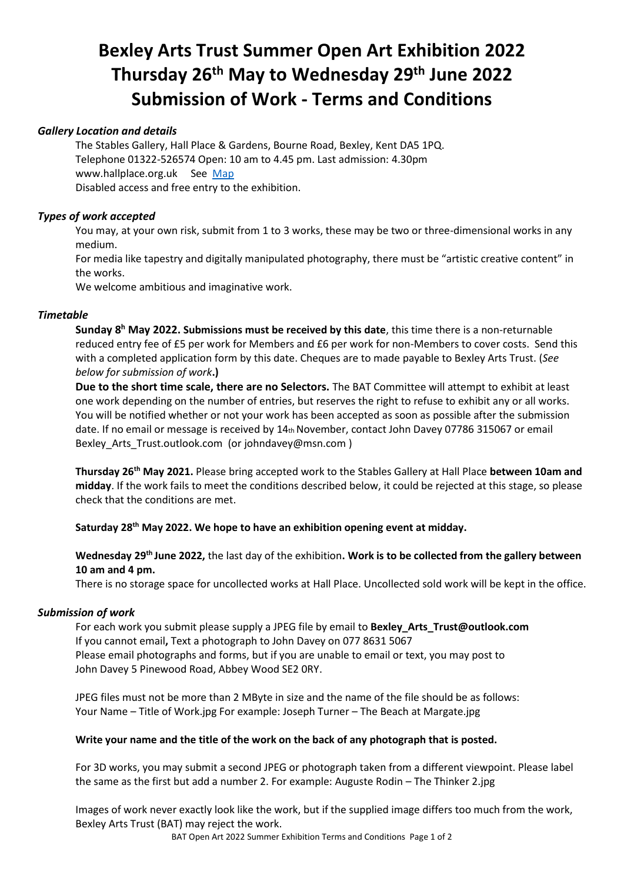## **Bexley Arts Trust Summer Open Art Exhibition 2022 Thursday 26 th May to Wednesday 29 th June 2022 Submission of Work - Terms and Conditions**

#### *Gallery Location and details*

The Stables Gallery, Hall Place & Gardens, Bourne Road, Bexley, Kent DA5 1PQ. Telephone 01322-526574 Open: 10 am to 4.45 pm. Last admission: 4.30pm www.hallplace.org.uk See [Map](https://www.google.com/maps/place/Hall+Place,+Dartford,+Bexley+DA5+1PQ/@51.4479552,0.1571024,17z/data=!3m1!4b1!4m5!3m4!1s0x47d8ae6bc2110b93:0xae61b1bdce7c09e6!8m2!3d51.4479552!4d0.1592911) Disabled access and free entry to the exhibition.

#### *Types of work accepted*

You may, at your own risk, submit from 1 to 3 works, these may be two or three-dimensional works in any medium.

For media like tapestry and digitally manipulated photography, there must be "artistic creative content" in the works.

We welcome ambitious and imaginative work.

#### *Timetable*

**Sunday 8 <sup>h</sup> May 2022. Submissions must be received by this date**, this time there is a non-returnable reduced entry fee of £5 per work for Members and £6 per work for non-Members to cover costs. Send this with a completed application form by this date. Cheques are to made payable to Bexley Arts Trust. (*See below for submission of work***.)**

**Due to the short time scale, there are no Selectors.** The BAT Committee will attempt to exhibit at least one work depending on the number of entries, but reserves the right to refuse to exhibit any or all works. You will be notified whether or not your work has been accepted as soon as possible after the submission date. If no email or message is received by  $14<sub>th</sub>$  November, contact John Davey 07786 315067 or email Bexley Arts Trust.outlook.com (or johndavey@msn.com )

**Thursday 26th May 2021.** Please bring accepted work to the Stables Gallery at Hall Place **between 10am and midday**. If the work fails to meet the conditions described below, it could be rejected at this stage, so please check that the conditions are met.

**Saturday 28 th May 2022. We hope to have an exhibition opening event at midday.**

**Wednesday 29 th June 2022,** the last day of the exhibition**. Work is to be collected from the gallery between 10 am and 4 pm.** 

There is no storage space for uncollected works at Hall Place. Uncollected sold work will be kept in the office.

#### *Submission of work*

For each work you submit please supply a JPEG file by email to **Bexley\_Arts\_Trust@outlook.com** If you cannot email**,** Text a photograph to John Davey on 077 8631 5067 Please email photographs and forms, but if you are unable to email or text, you may post to John Davey 5 Pinewood Road, Abbey Wood SE2 0RY.

JPEG files must not be more than 2 MByte in size and the name of the file should be as follows: Your Name – Title of Work.jpg For example: Joseph Turner – The Beach at Margate.jpg

#### **Write your name and the title of the work on the back of any photograph that is posted.**

For 3D works, you may submit a second JPEG or photograph taken from a different viewpoint. Please label the same as the first but add a number 2. For example: Auguste Rodin – The Thinker 2.jpg

Images of work never exactly look like the work, but if the supplied image differs too much from the work, Bexley Arts Trust (BAT) may reject the work.

BAT Open Art 2022 Summer Exhibition Terms and Conditions Page 1 of 2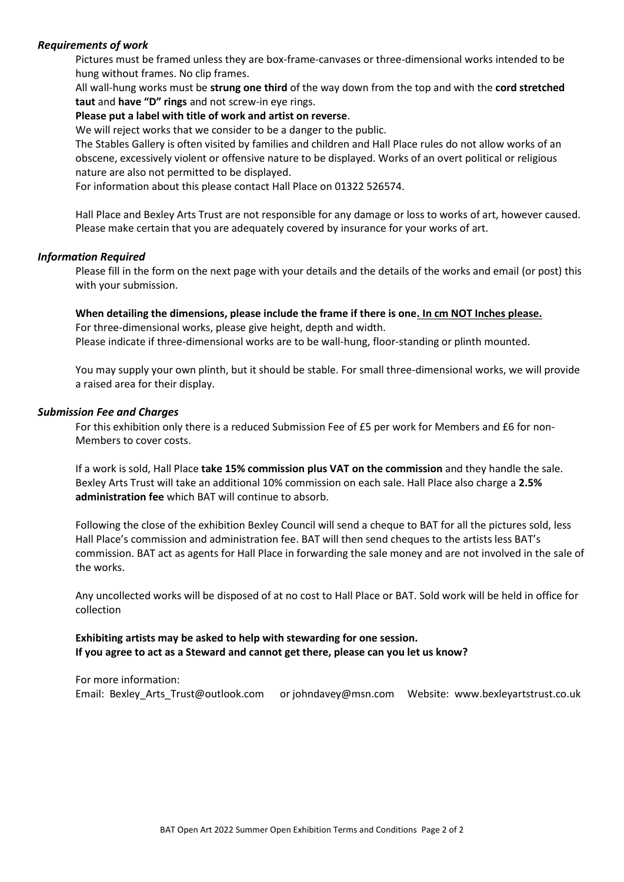#### *Requirements of work*

Pictures must be framed unless they are box-frame-canvases or three-dimensional works intended to be hung without frames. No clip frames.

All wall-hung works must be **strung one third** of the way down from the top and with the **cord stretched taut** and **have "D" rings** and not screw-in eye rings.

#### **Please put a label with title of work and artist on reverse**.

We will reject works that we consider to be a danger to the public.

The Stables Gallery is often visited by families and children and Hall Place rules do not allow works of an obscene, excessively violent or offensive nature to be displayed. Works of an overt political or religious nature are also not permitted to be displayed.

For information about this please contact Hall Place on 01322 526574.

Hall Place and Bexley Arts Trust are not responsible for any damage or loss to works of art, however caused. Please make certain that you are adequately covered by insurance for your works of art.

#### *Information Required*

Please fill in the form on the next page with your details and the details of the works and email (or post) this with your submission.

### **When detailing the dimensions, please include the frame if there is one. In cm NOT Inches please.**

For three-dimensional works, please give height, depth and width. Please indicate if three-dimensional works are to be wall-hung, floor-standing or plinth mounted.

You may supply your own plinth, but it should be stable. For small three-dimensional works, we will provide a raised area for their display.

#### *Submission Fee and Charges*

For this exhibition only there is a reduced Submission Fee of £5 per work for Members and £6 for non-Members to cover costs.

If a work is sold, Hall Place **take 15% commission plus VAT on the commission** and they handle the sale. Bexley Arts Trust will take an additional 10% commission on each sale. Hall Place also charge a **2.5% administration fee** which BAT will continue to absorb.

Following the close of the exhibition Bexley Council will send a cheque to BAT for all the pictures sold, less Hall Place's commission and administration fee. BAT will then send cheques to the artists less BAT's commission. BAT act as agents for Hall Place in forwarding the sale money and are not involved in the sale of the works.

Any uncollected works will be disposed of at no cost to Hall Place or BAT. Sold work will be held in office for collection

#### **Exhibiting artists may be asked to help with stewarding for one session. If you agree to act as a Steward and cannot get there, please can you let us know?**

For more information: Email: Bexley Arts Trust@outlook.com or johndavey@msn.com Website: www.bexleyartstrust.co.uk